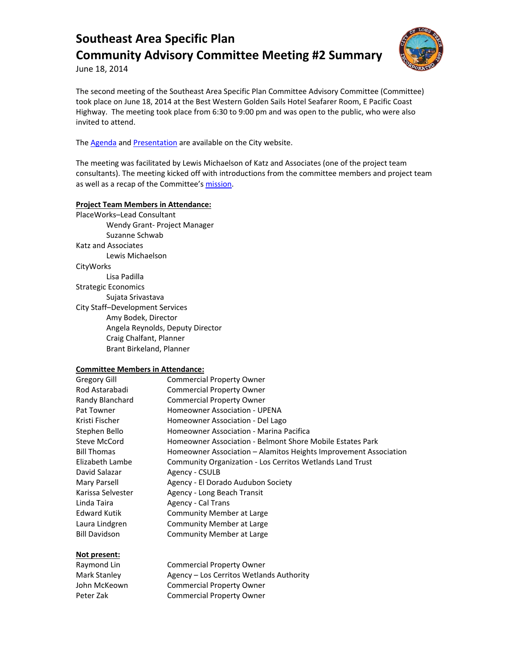

June 18, 2014

The second meeting of the Southeast Area Specific Plan Committee Advisory Committee (Committee) took place on June 18, 2014 at the Best Western Golden Sails Hotel Seafarer Room, E Pacific Coast Highway. The meeting took place from 6:30 to 9:00 pm and was open to the public, who were also invited to attend.

The **Agenda** and **Presentation** are available on the City website.

The meeting was facilitated by Lewis Michaelson of Katz and Associates (one of the project team consultants). The meeting kicked off with introductions from the committee members and project team as well as a recap of the Committee'[s mission.](http://www.lbds.info/seadip_update/community_advisory_committee.asp)

## **Project Team Members in Attendance:**

PlaceWorks–Lead Consultant Wendy Grant- Project Manager Suzanne Schwab Katz and Associates Lewis Michaelson **CityWorks** Lisa Padilla Strategic Economics Sujata Srivastava City Staff–Development Services Amy Bodek, Director Angela Reynolds, Deputy Director Craig Chalfant, Planner Brant Birkeland, Planner

### **Committee Members in Attendance:**

| Gregory Gill         | <b>Commercial Property Owner</b>                                 |
|----------------------|------------------------------------------------------------------|
| Rod Astarabadi       | <b>Commercial Property Owner</b>                                 |
| Randy Blanchard      | <b>Commercial Property Owner</b>                                 |
| Pat Towner           | Homeowner Association - UPENA                                    |
| Kristi Fischer       | Homeowner Association - Del Lago                                 |
| Stephen Bello        | Homeowner Association - Marina Pacifica                          |
| Steve McCord         | Homeowner Association - Belmont Shore Mobile Estates Park        |
| <b>Bill Thomas</b>   | Homeowner Association – Alamitos Heights Improvement Association |
| Elizabeth Lambe      | Community Organization - Los Cerritos Wetlands Land Trust        |
| David Salazar        | Agency - CSULB                                                   |
| Mary Parsell         | Agency - El Dorado Audubon Society                               |
| Karissa Selvester    | Agency - Long Beach Transit                                      |
| Linda Taira          | Agency - Cal Trans                                               |
| Edward Kutik         | Community Member at Large                                        |
| Laura Lindgren       | Community Member at Large                                        |
| <b>Bill Davidson</b> | Community Member at Large                                        |

## **Not present:**

| Raymond Lin  | <b>Commercial Property Owner</b>         |
|--------------|------------------------------------------|
| Mark Stanley | Agency – Los Cerritos Wetlands Authority |
| John McKeown | <b>Commercial Property Owner</b>         |
| Peter Zak    | <b>Commercial Property Owner</b>         |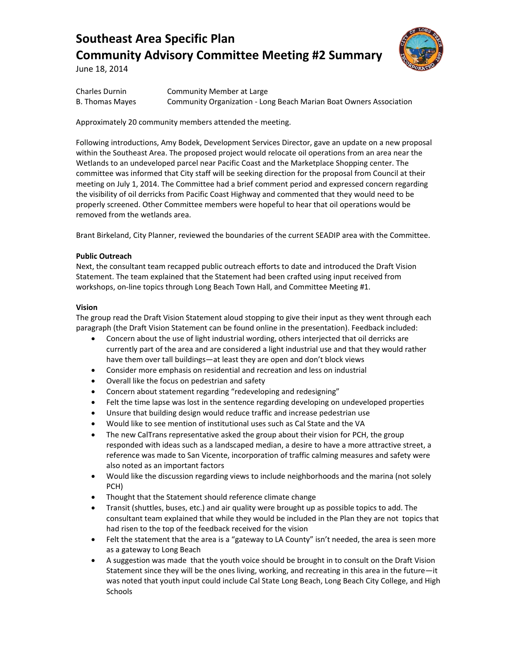

June 18, 2014

| <b>Charles Durnin</b> | Community Member at Large                                          |
|-----------------------|--------------------------------------------------------------------|
| B. Thomas Mayes       | Community Organization - Long Beach Marian Boat Owners Association |

Approximately 20 community members attended the meeting.

Following introductions, Amy Bodek, Development Services Director, gave an update on a new proposal within the Southeast Area. The proposed project would relocate oil operations from an area near the Wetlands to an undeveloped parcel near Pacific Coast and the Marketplace Shopping center. The committee was informed that City staff will be seeking direction for the proposal from Council at their meeting on July 1, 2014. The Committee had a brief comment period and expressed concern regarding the visibility of oil derricks from Pacific Coast Highway and commented that they would need to be properly screened. Other Committee members were hopeful to hear that oil operations would be removed from the wetlands area.

Brant Birkeland, City Planner, reviewed the boundaries of the current SEADIP area with the Committee.

### **Public Outreach**

Next, the consultant team recapped public outreach efforts to date and introduced the Draft Vision Statement. The team explained that the Statement had been crafted using input received from workshops, on-line topics through Long Beach Town Hall, and Committee Meeting #1.

## **Vision**

The group read the Draft Vision Statement aloud stopping to give their input as they went through each paragraph (the Draft Vision Statement can be found online in the presentation). Feedback included:

- Concern about the use of light industrial wording, others interjected that oil derricks are currently part of the area and are considered a light industrial use and that they would rather have them over tall buildings—at least they are open and don't block views
- Consider more emphasis on residential and recreation and less on industrial
- Overall like the focus on pedestrian and safety
- Concern about statement regarding "redeveloping and redesigning"
- Felt the time lapse was lost in the sentence regarding developing on undeveloped properties
- Unsure that building design would reduce traffic and increase pedestrian use
- Would like to see mention of institutional uses such as Cal State and the VA
- The new CalTrans representative asked the group about their vision for PCH, the group responded with ideas such as a landscaped median, a desire to have a more attractive street, a reference was made to San Vicente, incorporation of traffic calming measures and safety were also noted as an important factors
- Would like the discussion regarding views to include neighborhoods and the marina (not solely PCH)
- Thought that the Statement should reference climate change
- Transit (shuttles, buses, etc.) and air quality were brought up as possible topics to add. The consultant team explained that while they would be included in the Plan they are not topics that had risen to the top of the feedback received for the vision
- Felt the statement that the area is a "gateway to LA County" isn't needed, the area is seen more as a gateway to Long Beach
- A suggestion was made that the youth voice should be brought in to consult on the Draft Vision Statement since they will be the ones living, working, and recreating in this area in the future—it was noted that youth input could include Cal State Long Beach, Long Beach City College, and High Schools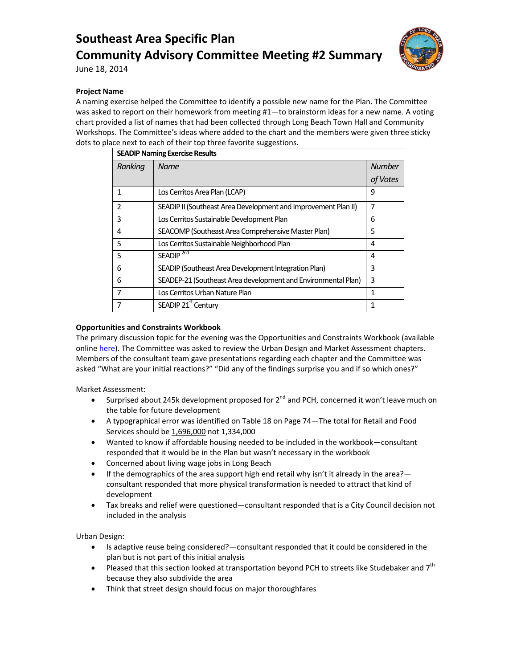

June 18, 2014

### **Project Name**

A naming exercise helped the Committee to identify a possible new name for the Plan. The Committee was asked to report on their homework from meeting #1-to brainstorm ideas for a new name. A voting chart provided a list of names that had been collected through Long Beach Town Hall and Community Workshops. The Committee's ideas where added to the chart and the members were given three sticky dots to place next to each of their top three favorite suggestions.

| <b>SEADIP Naming Exercise Results</b> |                                                                |               |  |
|---------------------------------------|----------------------------------------------------------------|---------------|--|
| Ranking                               | <b>Name</b>                                                    | <b>Number</b> |  |
|                                       |                                                                | of Votes      |  |
| 1                                     | Los Cerritos Area Plan (LCAP)                                  | 9             |  |
| $\overline{2}$                        | SEADIP II (Southeast Area Development and Improvement Plan II) | 7             |  |
| 3                                     | Los Cerritos Sustainable Development Plan                      | 6             |  |
| 4                                     | SEACOMP (Southeast Area Comprehensive Master Plan)             | 5             |  |
| 5                                     | Los Cerritos Sustainable Neighborhood Plan                     | 4             |  |
| 5                                     | SEADIP <sup>2nd</sup>                                          | 4             |  |
| 6                                     | SEADIP (Southeast Area Development Integration Plan)           | 3             |  |
| 6                                     | SEADEP-21 (Southeast Area development and Environmental Plan)  | 3             |  |
| $\overline{7}$                        | Los Cerritos Urban Nature Plan                                 | 1             |  |
| 7                                     | SEADIP 21 <sup>st</sup> Century                                |               |  |

### **Opportunities and Constraints Workbook**

The primary discussion topic for the evening was the Opportunities and Constraints Workbook (available onlin[e here\)](http://www.lbds.info/civica/filebank/blobdload.asp?BlobID=4291). The Committee was asked to review the Urban Design and Market Assessment chapters. Members of the consultant team gave presentations regarding each chapter and the Committee was asked "What are your initial reactions?" "Did any of the findings surprise you and if so which ones?"

Market Assessment:

- Surprised about 245k development proposed for  $2^{nd}$  and PCH, concerned it won't leave much on the table for future development
- A typographical error was identified on Table 18 on Page 74—The total for Retail and Food Services should be 1,696,000 not 1,334,000
- Wanted to know if affordable housing needed to be included in the workbook—consultant responded that it would be in the Plan but wasn't necessary in the workbook
- Concerned about living wage jobs in Long Beach
- If the demographics of the area support high end retail why isn't it already in the area? consultant responded that more physical transformation is needed to attract that kind of development
- Tax breaks and relief were questioned—consultant responded that is a City Council decision not included in the analysis

Urban Design:

- Is adaptive reuse being considered?—consultant responded that it could be considered in the plan but is not part of this initial analysis
- Pleased that this section looked at transportation beyond PCH to streets like Studebaker and 7<sup>th</sup> because they also subdivide the area
- Think that street design should focus on major thoroughfares